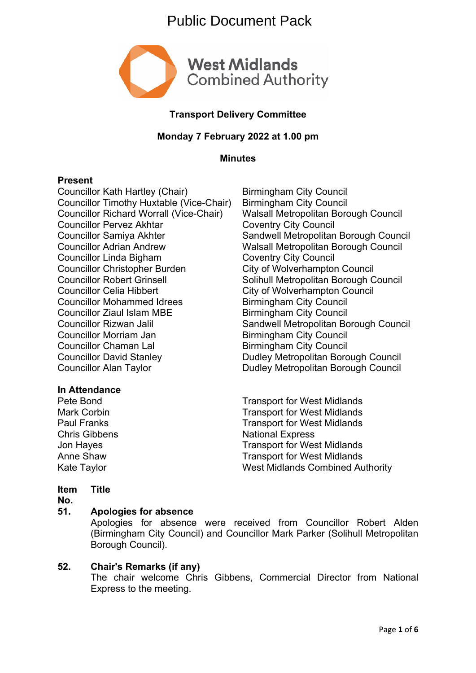# Public Document Pack



# **Transport Delivery Committee**

# **Monday 7 February 2022 at 1.00 pm**

**Minutes**

### **Present**

Councillor Kath Hartley (Chair) Birmingham City Council Councillor Timothy Huxtable (Vice-Chair) Birmingham City Council Councillor Richard Worrall (Vice-Chair) Walsall Metropolitan Borough Council Councillor Pervez Akhtar Coventry City Council Councillor Samiya Akhter Sandwell Metropolitan Borough Council Councillor Adrian Andrew Walsall Metropolitan Borough Council Councillor Linda Bigham Coventry City Council Councillor Christopher Burden City of Wolverhampton Council Councillor Robert Grinsell Solihull Metropolitan Borough Council Councillor Celia Hibbert Council Councillor Celia Hibbert Council<br>
Councillor Mohammed Idrees Birmingham City Council Councillor Mohammed Idrees Councillor Ziaul Islam MBE Birmingham City Council Councillor Rizwan Jalil **Sandwell Metropolitan Borough Council** Councillor Morriam Jan Birmingham City Council Councillor Chaman Lal Birmingham City Council<br>
Councillor David Stanley<br>
Dudley Metropolitan Bord Councillor Alan Taylor **Dudley Metropolitan Borough Council** 

# **In Attendance**

Dudley Metropolitan Borough Council

Pete Bond Transport for West Midlands Mark Corbin **Mark Corpinsol** Corpinson Transport for West Midlands Paul Franks Transport for West Midlands Chris Gibbens National Express Jon Hayes **Transport for West Midlands** Anne Shaw Transport for West Midlands Kate Taylor **West Midlands Combined Authority** 

#### **Item Title**

**No.**

#### **51. Apologies for absence**

Apologies for absence were received from Councillor Robert Alden (Birmingham City Council) and Councillor Mark Parker (Solihull Metropolitan Borough Council).

# **52. Chair's Remarks (if any)**

The chair welcome Chris Gibbens, Commercial Director from National Express to the meeting.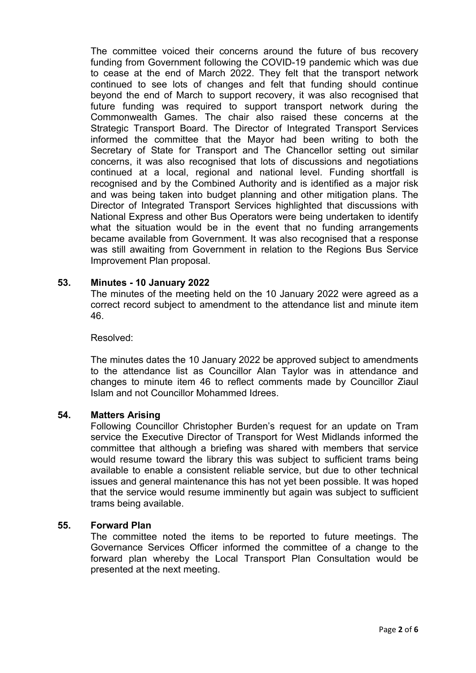The committee voiced their concerns around the future of bus recovery funding from Government following the COVID-19 pandemic which was due to cease at the end of March 2022. They felt that the transport network continued to see lots of changes and felt that funding should continue beyond the end of March to support recovery, it was also recognised that future funding was required to support transport network during the Commonwealth Games. The chair also raised these concerns at the Strategic Transport Board. The Director of Integrated Transport Services informed the committee that the Mayor had been writing to both the Secretary of State for Transport and The Chancellor setting out similar concerns, it was also recognised that lots of discussions and negotiations continued at a local, regional and national level. Funding shortfall is recognised and by the Combined Authority and is identified as a major risk and was being taken into budget planning and other mitigation plans. The Director of Integrated Transport Services highlighted that discussions with National Express and other Bus Operators were being undertaken to identify what the situation would be in the event that no funding arrangements became available from Government. It was also recognised that a response was still awaiting from Government in relation to the Regions Bus Service Improvement Plan proposal.

### **53. Minutes - 10 January 2022**

The minutes of the meeting held on the 10 January 2022 were agreed as a correct record subject to amendment to the attendance list and minute item 46.

#### Resolved:

The minutes dates the 10 January 2022 be approved subject to amendments to the attendance list as Councillor Alan Taylor was in attendance and changes to minute item 46 to reflect comments made by Councillor Ziaul Islam and not Councillor Mohammed Idrees.

#### **54. Matters Arising**

Following Councillor Christopher Burden's request for an update on Tram service the Executive Director of Transport for West Midlands informed the committee that although a briefing was shared with members that service would resume toward the library this was subject to sufficient trams being available to enable a consistent reliable service, but due to other technical issues and general maintenance this has not yet been possible. It was hoped that the service would resume imminently but again was subject to sufficient trams being available.

#### **55. Forward Plan**

The committee noted the items to be reported to future meetings. The Governance Services Officer informed the committee of a change to the forward plan whereby the Local Transport Plan Consultation would be presented at the next meeting.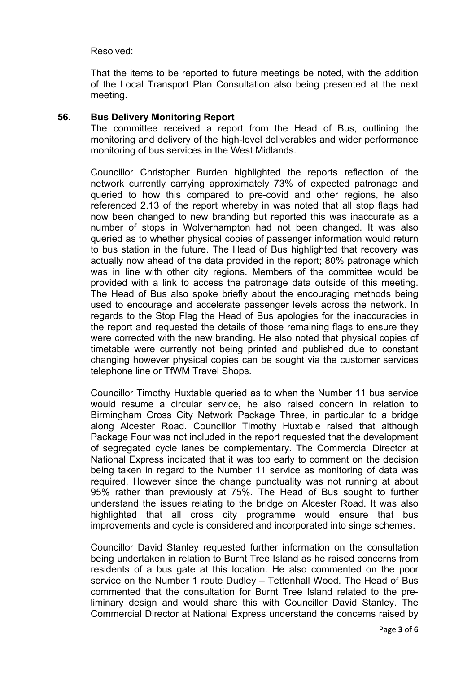### Resolved:

That the items to be reported to future meetings be noted, with the addition of the Local Transport Plan Consultation also being presented at the next meeting.

### **56. Bus Delivery Monitoring Report**

The committee received a report from the Head of Bus, outlining the monitoring and delivery of the high-level deliverables and wider performance monitoring of bus services in the West Midlands.

Councillor Christopher Burden highlighted the reports reflection of the network currently carrying approximately 73% of expected patronage and queried to how this compared to pre-covid and other regions, he also referenced 2.13 of the report whereby in was noted that all stop flags had now been changed to new branding but reported this was inaccurate as a number of stops in Wolverhampton had not been changed. It was also queried as to whether physical copies of passenger information would return to bus station in the future. The Head of Bus highlighted that recovery was actually now ahead of the data provided in the report; 80% patronage which was in line with other city regions. Members of the committee would be provided with a link to access the patronage data outside of this meeting. The Head of Bus also spoke briefly about the encouraging methods being used to encourage and accelerate passenger levels across the network. In regards to the Stop Flag the Head of Bus apologies for the inaccuracies in the report and requested the details of those remaining flags to ensure they were corrected with the new branding. He also noted that physical copies of timetable were currently not being printed and published due to constant changing however physical copies can be sought via the customer services telephone line or TfWM Travel Shops.

Councillor Timothy Huxtable queried as to when the Number 11 bus service would resume a circular service, he also raised concern in relation to Birmingham Cross City Network Package Three, in particular to a bridge along Alcester Road. Councillor Timothy Huxtable raised that although Package Four was not included in the report requested that the development of segregated cycle lanes be complementary. The Commercial Director at National Express indicated that it was too early to comment on the decision being taken in regard to the Number 11 service as monitoring of data was required. However since the change punctuality was not running at about 95% rather than previously at 75%. The Head of Bus sought to further understand the issues relating to the bridge on Alcester Road. It was also highlighted that all cross city programme would ensure that bus improvements and cycle is considered and incorporated into singe schemes.

Councillor David Stanley requested further information on the consultation being undertaken in relation to Burnt Tree Island as he raised concerns from residents of a bus gate at this location. He also commented on the poor service on the Number 1 route Dudley – Tettenhall Wood. The Head of Bus commented that the consultation for Burnt Tree Island related to the preliminary design and would share this with Councillor David Stanley. The Commercial Director at National Express understand the concerns raised by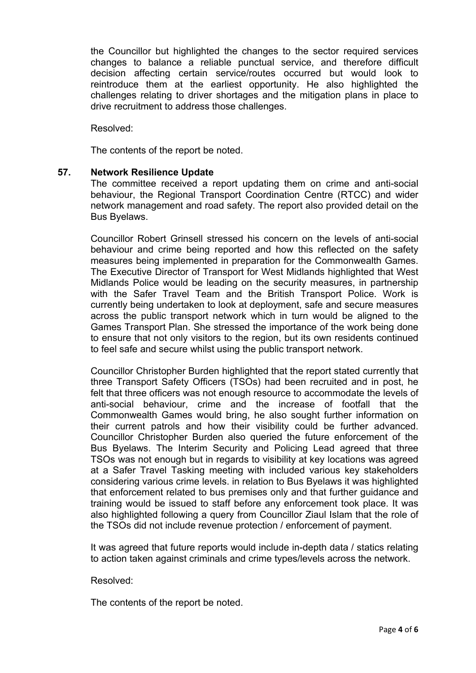the Councillor but highlighted the changes to the sector required services changes to balance a reliable punctual service, and therefore difficult decision affecting certain service/routes occurred but would look to reintroduce them at the earliest opportunity. He also highlighted the challenges relating to driver shortages and the mitigation plans in place to drive recruitment to address those challenges.

Resolved:

The contents of the report be noted.

### **57. Network Resilience Update**

The committee received a report updating them on crime and anti-social behaviour, the Regional Transport Coordination Centre (RTCC) and wider network management and road safety. The report also provided detail on the Bus Byelaws.

Councillor Robert Grinsell stressed his concern on the levels of anti-social behaviour and crime being reported and how this reflected on the safety measures being implemented in preparation for the Commonwealth Games. The Executive Director of Transport for West Midlands highlighted that West Midlands Police would be leading on the security measures, in partnership with the Safer Travel Team and the British Transport Police. Work is currently being undertaken to look at deployment, safe and secure measures across the public transport network which in turn would be aligned to the Games Transport Plan. She stressed the importance of the work being done to ensure that not only visitors to the region, but its own residents continued to feel safe and secure whilst using the public transport network.

Councillor Christopher Burden highlighted that the report stated currently that three Transport Safety Officers (TSOs) had been recruited and in post, he felt that three officers was not enough resource to accommodate the levels of anti-social behaviour, crime and the increase of footfall that the Commonwealth Games would bring, he also sought further information on their current patrols and how their visibility could be further advanced. Councillor Christopher Burden also queried the future enforcement of the Bus Byelaws. The Interim Security and Policing Lead agreed that three TSOs was not enough but in regards to visibility at key locations was agreed at a Safer Travel Tasking meeting with included various key stakeholders considering various crime levels. in relation to Bus Byelaws it was highlighted that enforcement related to bus premises only and that further guidance and training would be issued to staff before any enforcement took place. It was also highlighted following a query from Councillor Ziaul Islam that the role of the TSOs did not include revenue protection / enforcement of payment.

It was agreed that future reports would include in-depth data / statics relating to action taken against criminals and crime types/levels across the network.

#### Resolved:

The contents of the report be noted.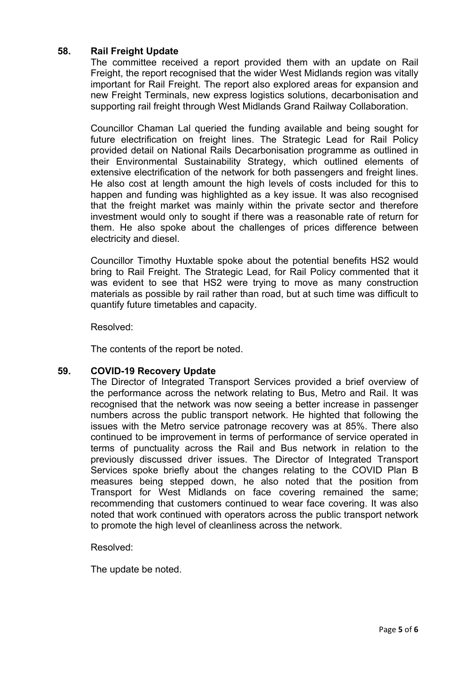# **58. Rail Freight Update**

The committee received a report provided them with an update on Rail Freight, the report recognised that the wider West Midlands region was vitally important for Rail Freight. The report also explored areas for expansion and new Freight Terminals, new express logistics solutions, decarbonisation and supporting rail freight through West Midlands Grand Railway Collaboration.

Councillor Chaman Lal queried the funding available and being sought for future electrification on freight lines. The Strategic Lead for Rail Policy provided detail on National Rails Decarbonisation programme as outlined in their Environmental Sustainability Strategy, which outlined elements of extensive electrification of the network for both passengers and freight lines. He also cost at length amount the high levels of costs included for this to happen and funding was highlighted as a key issue. It was also recognised that the freight market was mainly within the private sector and therefore investment would only to sought if there was a reasonable rate of return for them. He also spoke about the challenges of prices difference between electricity and diesel.

Councillor Timothy Huxtable spoke about the potential benefits HS2 would bring to Rail Freight. The Strategic Lead, for Rail Policy commented that it was evident to see that HS2 were trying to move as many construction materials as possible by rail rather than road, but at such time was difficult to quantify future timetables and capacity.

Resolved:

The contents of the report be noted.

# **59. COVID-19 Recovery Update**

The Director of Integrated Transport Services provided a brief overview of the performance across the network relating to Bus, Metro and Rail. It was recognised that the network was now seeing a better increase in passenger numbers across the public transport network. He highted that following the issues with the Metro service patronage recovery was at 85%. There also continued to be improvement in terms of performance of service operated in terms of punctuality across the Rail and Bus network in relation to the previously discussed driver issues. The Director of Integrated Transport Services spoke briefly about the changes relating to the COVID Plan B measures being stepped down, he also noted that the position from Transport for West Midlands on face covering remained the same; recommending that customers continued to wear face covering. It was also noted that work continued with operators across the public transport network to promote the high level of cleanliness across the network.

Resolved:

The update be noted.